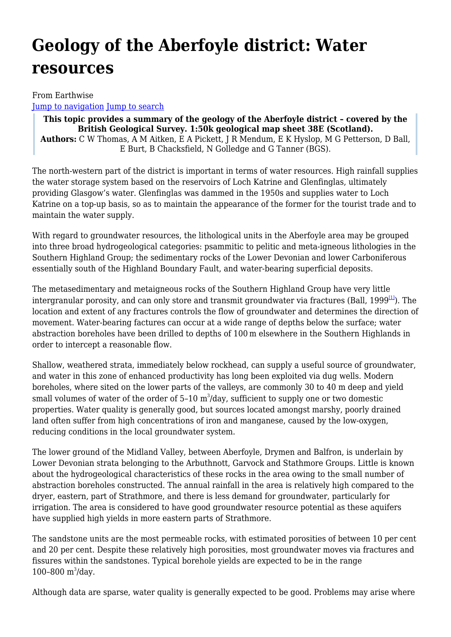# **Geology of the Aberfoyle district: Water resources**

From Earthwise [Jump to navigation](#page--1-0) [Jump to search](#page--1-0)

**This topic provides a summary of the geology of the Aberfoyle district – covered by the British Geological Survey. 1:50k geological map sheet 38E (Scotland). Authors:** C W Thomas, A M Aitken, E A Pickett, J R Mendum, E K Hyslop, M G Petterson, D Ball, E Burt, B Chacksfield, N Golledge and G Tanner (BGS).

The north-western part of the district is important in terms of water resources. High rainfall supplies the water storage system based on the reservoirs of Loch Katrine and Glenfinglas, ultimately providing Glasgow's water. Glenfinglas was dammed in the 1950s and supplies water to Loch Katrine on a top-up basis, so as to maintain the appearance of the former for the tourist trade and to maintain the water supply.

With regard to groundwater resources, the lithological units in the Aberfoyle area may be grouped into three broad hydrogeological categories: psammitic to pelitic and meta-igneous lithologies in the Southern Highland Group; the sedimentary rocks of the Lower Devonian and lower Carboniferous essentially south of the Highland Boundary Fault, and water-bearing superficial deposits.

The metasedimentary and metaigneous rocks of the Southern Highland Group have very little intergranular porosity, and can only store and transmit groundwater via fractures (Ball, 1999 $\mu$ ). The location and extent of any fractures controls the flow of groundwater and determines the direction of movement. Water-bearing factures can occur at a wide range of depths below the surface; water abstraction boreholes have been drilled to depths of 100 m elsewhere in the Southern Highlands in order to intercept a reasonable flow.

Shallow, weathered strata, immediately below rockhead, can supply a useful source of groundwater, and water in this zone of enhanced productivity has long been exploited via dug wells. Modern boreholes, where sited on the lower parts of the valleys, are commonly 30 to 40 m deep and yield small volumes of water of the order of 5-10  $\mathrm{m}^3$ /day, sufficient to supply one or two domestic properties. Water quality is generally good, but sources located amongst marshy, poorly drained land often suffer from high concentrations of iron and manganese, caused by the low-oxygen, reducing conditions in the local groundwater system.

The lower ground of the Midland Valley, between Aberfoyle, Drymen and Balfron, is underlain by Lower Devonian strata belonging to the Arbuthnott, Garvock and Stathmore Groups. Little is known about the hydrogeological characteristics of these rocks in the area owing to the small number of abstraction boreholes constructed. The annual rainfall in the area is relatively high compared to the dryer, eastern, part of Strathmore, and there is less demand for groundwater, particularly for irrigation. The area is considered to have good groundwater resource potential as these aquifers have supplied high yields in more eastern parts of Strathmore.

The sandstone units are the most permeable rocks, with estimated porosities of between 10 per cent and 20 per cent. Despite these relatively high porosities, most groundwater moves via fractures and fissures within the sandstones. Typical borehole yields are expected to be in the range 100-800  $m^3$ /day.

Although data are sparse, water quality is generally expected to be good. Problems may arise where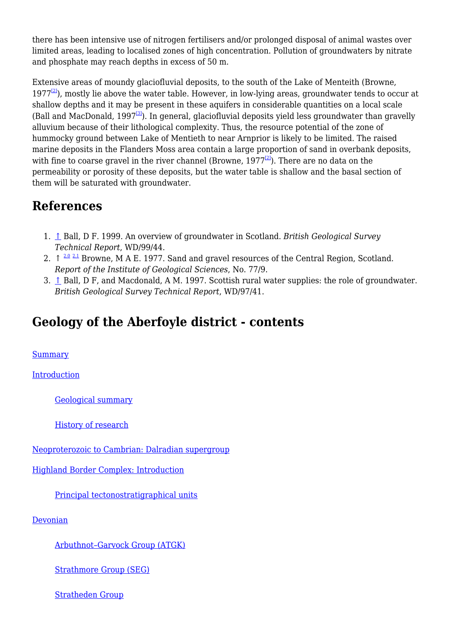there has been intensive use of nitrogen fertilisers and/or prolonged disposal of animal wastes over limited areas, leading to localised zones of high concentration. Pollution of groundwaters by nitrate and phosphate may reach depths in excess of 50 m.

Extensive areas of moundy glaciofluvial deposits, to the south of the Lake of Menteith (Browne,  $1977<sup>[2]</sup>$  $1977<sup>[2]</sup>$  $1977<sup>[2]</sup>$ , mostly lie above the water table. However, in low-lying areas, groundwater tends to occur at shallow depths and it may be present in these aquifers in considerable quantities on a local scale (Ball and MacDonald, 1997<sup>[\[3\]](#page--1-0)</sup>). In general, glaciofluvial deposits yield less groundwater than gravelly alluvium because of their lithological complexity. Thus, the resource potential of the zone of hummocky ground between Lake of Mentieth to near Arnprior is likely to be limited. The raised marine deposits in the Flanders Moss area contain a large proportion of sand in overbank deposits, with fine to coarse gravel in the river channel (Browne,  $1977<sup>[2]</sup>$  $1977<sup>[2]</sup>$  $1977<sup>[2]</sup>$ ). There are no data on the permeability or porosity of these deposits, but the water table is shallow and the basal section of them will be saturated with groundwater.

# **References**

- 1. [↑](#page--1-0) Ball, D F. 1999. An overview of groundwater in Scotland. *British Geological Survey Technical Report*, WD/99/44.
- 2.  $\uparrow$  <sup>[2.0](#page--1-0) [2.1](#page--1-0)</sup> Browne, M A E. 1977. Sand and gravel resources of the Central Region, Scotland. *Report of the Institute of Geological Sciences*, No. 77/9.
- 3.  $\uparrow$  Ball, D F, and Macdonald, A M. 1997. Scottish rural water supplies: the role of groundwater. *British Geological Survey Technical Report*, WD/97/41.

# **Geology of the Aberfoyle district - contents**

[Summary](http://earthwise.bgs.ac.uk/index.php/Geology_of_the_Aberfoyle_district:_Summary)

**[Introduction](http://earthwise.bgs.ac.uk/index.php/Geology_of_the_Aberfoyle_district:_Introduction)** 

[Geological summary](http://earthwise.bgs.ac.uk/index.php/Geology_of_the_Aberfoyle_district:_Geological_summary)

[History of research](http://earthwise.bgs.ac.uk/index.php/Geology_of_the_Aberfoyle_district:_History_of_research)

[Neoproterozoic to Cambrian: Dalradian supergroup](http://earthwise.bgs.ac.uk/index.php/Geology_of_the_Aberfoyle_district:_Neoproterozoic_to_Cambrian:_Dalradian_supergroup)

[Highland Border Complex: Introduction](http://earthwise.bgs.ac.uk/index.php/Geology_of_the_Aberfoyle_district:_Highland_Border_Complex:_Introduction)

[Principal tectonostratigraphical units](http://earthwise.bgs.ac.uk/index.php/Geology_of_the_Aberfoyle_district:_Principal_tectonostratigraphical_units)

[Devonian](http://earthwise.bgs.ac.uk/index.php/Geology_of_the_Aberfoyle_district:_Devonian)

[Arbuthnot–Garvock Group \(ATGK\)](http://earthwise.bgs.ac.uk/index.php/Geology_of_the_Aberfoyle_district:_Arbuthnot%E2%80%93Garvock_Group_(ATGK))

[Strathmore Group \(SEG\)](http://earthwise.bgs.ac.uk/index.php/Geology_of_the_Aberfoyle_district:_Strathmore_Group_(SEG))

[Stratheden Group](http://earthwise.bgs.ac.uk/index.php/Geology_of_the_Aberfoyle_district:_Stratheden_Group)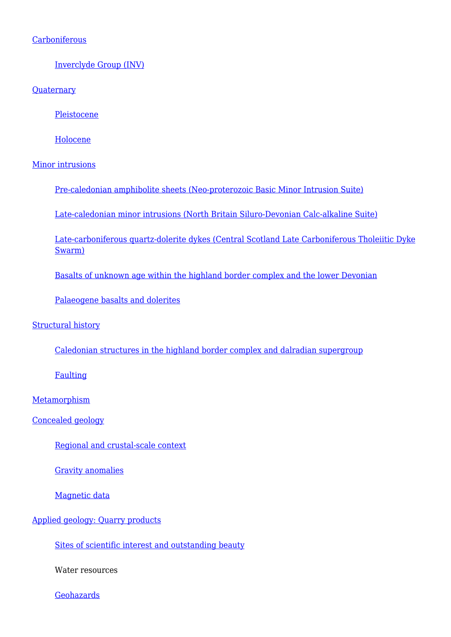#### **[Carboniferous](http://earthwise.bgs.ac.uk/index.php/Geology_of_the_Aberfoyle_district:_Carboniferous)**

[Inverclyde Group \(INV\)](http://earthwise.bgs.ac.uk/index.php/Geology_of_the_Aberfoyle_district:_Inverclyde_Group_(INV))

**[Quaternary](http://earthwise.bgs.ac.uk/index.php/Geology_of_the_Aberfoyle_district:_Quaternary)** 

[Pleistocene](http://earthwise.bgs.ac.uk/index.php/Geology_of_the_Aberfoyle_district:_Pleistocene)

[Holocene](http://earthwise.bgs.ac.uk/index.php/Geology_of_the_Aberfoyle_district:_Holocene)

[Minor intrusions](http://earthwise.bgs.ac.uk/index.php/Geology_of_the_Aberfoyle_district:_Minor_intrusions)

[Pre-caledonian amphibolite sheets \(Neo-proterozoic Basic Minor Intrusion Suite\)](http://earthwise.bgs.ac.uk/index.php/Geology_of_the_Aberfoyle_district:_Pre-caledonian_amphibolite_sheets_(Neo-proterozoic_Basic_Minor_Intrusion_Suite))

[Late-caledonian minor intrusions \(North Britain Siluro-Devonian Calc-alkaline Suite\)](http://earthwise.bgs.ac.uk/index.php/Geology_of_the_Aberfoyle_district:_Late-caledonian_minor_intrusions_(North_Britain_Siluro-Devonian_Calc-alkaline_Suite))

[Late-carboniferous quartz-dolerite dykes \(Central Scotland Late Carboniferous Tholeiitic Dyke](http://earthwise.bgs.ac.uk/index.php/Geology_of_the_Aberfoyle_district:_Late-carboniferous_quartz-dolerite_dykes_(Central_Scotland_Late_Carboniferous_Tholeiitic_Dyke_Swarm)) [Swarm\)](http://earthwise.bgs.ac.uk/index.php/Geology_of_the_Aberfoyle_district:_Late-carboniferous_quartz-dolerite_dykes_(Central_Scotland_Late_Carboniferous_Tholeiitic_Dyke_Swarm))

[Basalts of unknown age within the highland border complex and the lower Devonian](http://earthwise.bgs.ac.uk/index.php/Geology_of_the_Aberfoyle_district:_Basalts_of_unknown_age_within_the_highland_border_complex_and_the_lower_Devonian)

[Palaeogene basalts and dolerites](http://earthwise.bgs.ac.uk/index.php/Geology_of_the_Aberfoyle_district:_Palaeogene_basalts_and_dolerites)

[Structural history](http://earthwise.bgs.ac.uk/index.php/Geology_of_the_Aberfoyle_district:_Structural_history)

[Caledonian structures in the highland border complex and dalradian supergroup](http://earthwise.bgs.ac.uk/index.php/Geology_of_the_Aberfoyle_district:_Caledonian_structures_in_the_highland_border_complex_and_dalradian_supergroup)

**[Faulting](http://earthwise.bgs.ac.uk/index.php/Geology_of_the_Aberfoyle_district:_Faulting)** 

**[Metamorphism](http://earthwise.bgs.ac.uk/index.php/Geology_of_the_Aberfoyle_district:_Metamorphism)** 

[Concealed geology](http://earthwise.bgs.ac.uk/index.php/Geology_of_the_Aberfoyle_district:_Concealed_geology)

[Regional and crustal-scale context](http://earthwise.bgs.ac.uk/index.php/Geology_of_the_Aberfoyle_district:_Regional_and_crustal-scale_context)

[Gravity anomalies](http://earthwise.bgs.ac.uk/index.php/Geology_of_the_Aberfoyle_district:_Gravity_anomalies)

[Magnetic data](http://earthwise.bgs.ac.uk/index.php/Geology_of_the_Aberfoyle_district:_Magnetic_data)

#### [Applied geology: Quarry products](http://earthwise.bgs.ac.uk/index.php/Geology_of_the_Aberfoyle_district:_Applied_geology:_Quarry_products)

[Sites of scientific interest and outstanding beauty](http://earthwise.bgs.ac.uk/index.php/Geology_of_the_Aberfoyle_district:_Sites_of_scientific_interest_and_outstanding_beauty)

Water resources

**[Geohazards](http://earthwise.bgs.ac.uk/index.php/Geology_of_the_Aberfoyle_district:_Geohazards)**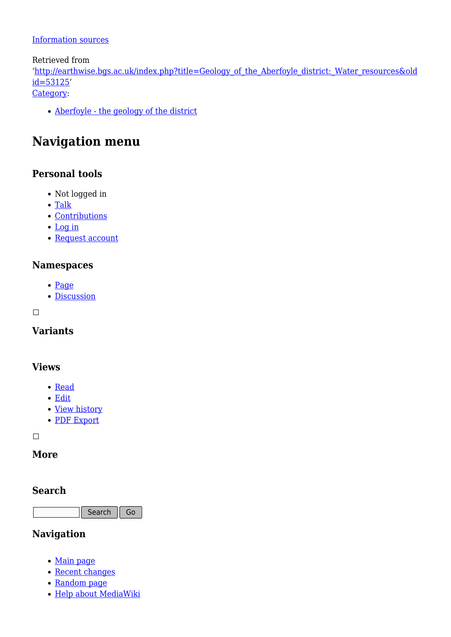#### [Information sources](http://earthwise.bgs.ac.uk/index.php/Geology_of_the_Aberfoyle_district:_Information_sources)

Retrieved from

'[http://earthwise.bgs.ac.uk/index.php?title=Geology\\_of\\_the\\_Aberfoyle\\_district:\\_Water\\_resources&old](http://earthwise.bgs.ac.uk/index.php?title=Geology_of_the_Aberfoyle_district:_Water_resources&oldid=53125) [id=53125'](http://earthwise.bgs.ac.uk/index.php?title=Geology_of_the_Aberfoyle_district:_Water_resources&oldid=53125)

[Category](http://earthwise.bgs.ac.uk/index.php/Special:Categories):

[Aberfoyle - the geology of the district](http://earthwise.bgs.ac.uk/index.php/Category:Aberfoyle_-_the_geology_of_the_district)

# **Navigation menu**

### **Personal tools**

- Not logged in
- [Talk](http://earthwise.bgs.ac.uk/index.php/Special:MyTalk)
- [Contributions](http://earthwise.bgs.ac.uk/index.php/Special:MyContributions)
- [Log in](http://earthwise.bgs.ac.uk/index.php?title=Special:UserLogin&returnto=Geology+of+the+Aberfoyle+district%3A+Water+resources&returntoquery=action%3Dmpdf)
- [Request account](http://earthwise.bgs.ac.uk/index.php/Special:RequestAccount)

#### **Namespaces**

- [Page](http://earthwise.bgs.ac.uk/index.php/Geology_of_the_Aberfoyle_district:_Water_resources)
- [Discussion](http://earthwise.bgs.ac.uk/index.php?title=Talk:Geology_of_the_Aberfoyle_district:_Water_resources&action=edit&redlink=1)

 $\Box$ 

### **Variants**

#### **Views**

- [Read](http://earthwise.bgs.ac.uk/index.php/Geology_of_the_Aberfoyle_district:_Water_resources)
- [Edit](http://earthwise.bgs.ac.uk/index.php?title=Geology_of_the_Aberfoyle_district:_Water_resources&action=edit)
- [View history](http://earthwise.bgs.ac.uk/index.php?title=Geology_of_the_Aberfoyle_district:_Water_resources&action=history)
- [PDF Export](http://earthwise.bgs.ac.uk/index.php?title=Geology_of_the_Aberfoyle_district:_Water_resources&action=mpdf)

 $\Box$ 

### **More**

#### **Search**

Search  $\|$  Go

### **Navigation**

- [Main page](http://earthwise.bgs.ac.uk/index.php/Main_Page)
- [Recent changes](http://earthwise.bgs.ac.uk/index.php/Special:RecentChanges)
- [Random page](http://earthwise.bgs.ac.uk/index.php/Special:Random)
- [Help about MediaWiki](https://www.mediawiki.org/wiki/Special:MyLanguage/Help:Contents)